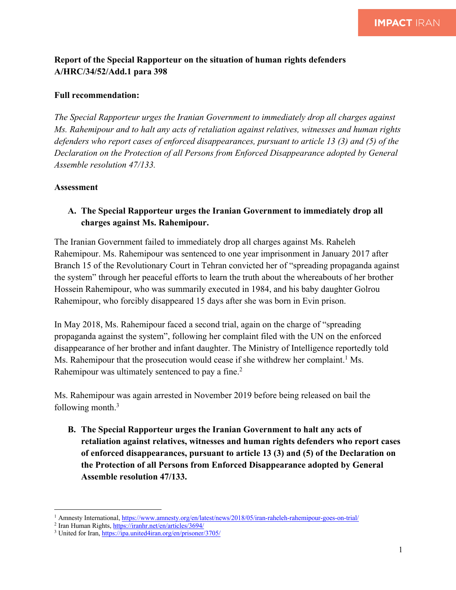## **Report of the Special Rapporteur on the situation of human rights defenders A/HRC/34/52/Add.1 para 398**

## **Full recommendation:**

*The Special Rapporteur urges the Iranian Government to immediately drop all charges against Ms. Rahemipour and to halt any acts of retaliation against relatives, witnesses and human rights defenders who report cases of enforced disappearances, pursuant to article 13 (3) and (5) of the Declaration on the Protection of all Persons from Enforced Disappearance adopted by General Assemble resolution 47/133.* 

## **Assessment**

## **A. The Special Rapporteur urges the Iranian Government to immediately drop all charges against Ms. Rahemipour.**

The Iranian Government failed to immediately drop all charges against Ms. Raheleh Rahemipour. Ms. Rahemipour was sentenced to one year imprisonment in January 2017 after Branch 15 of the Revolutionary Court in Tehran convicted her of "spreading propaganda against the system" through her peaceful efforts to learn the truth about the whereabouts of her brother Hossein Rahemipour, who was summarily executed in 1984, and his baby daughter Golrou Rahemipour, who forcibly disappeared 15 days after she was born in Evin prison.

In May 2018, Ms. Rahemipour faced a second trial, again on the charge of "spreading propaganda against the system", following her complaint filed with the UN on the enforced disappearance of her brother and infant daughter. The Ministry of Intelligence reportedly told Ms. Rahemipour that the prosecution would cease if she withdrew her complaint.<sup>1</sup> Ms. Rahemipour was ultimately sentenced to pay a fine.<sup>2</sup>

Ms. Rahemipour was again arrested in November 2019 before being released on bail the following month.3

**B. The Special Rapporteur urges the Iranian Government to halt any acts of retaliation against relatives, witnesses and human rights defenders who report cases of enforced disappearances, pursuant to article 13 (3) and (5) of the Declaration on the Protection of all Persons from Enforced Disappearance adopted by General Assemble resolution 47/133.**

<sup>1</sup> Amnesty International, https://www.amnesty.org/en/latest/news/2018/05/iran-raheleh-rahemipour-goes-on-trial/

<sup>2</sup> Iran Human Rights, https://iranhr.net/en/articles/3694/

<sup>3</sup> United for Iran, https://ipa.united4iran.org/en/prisoner/3705/